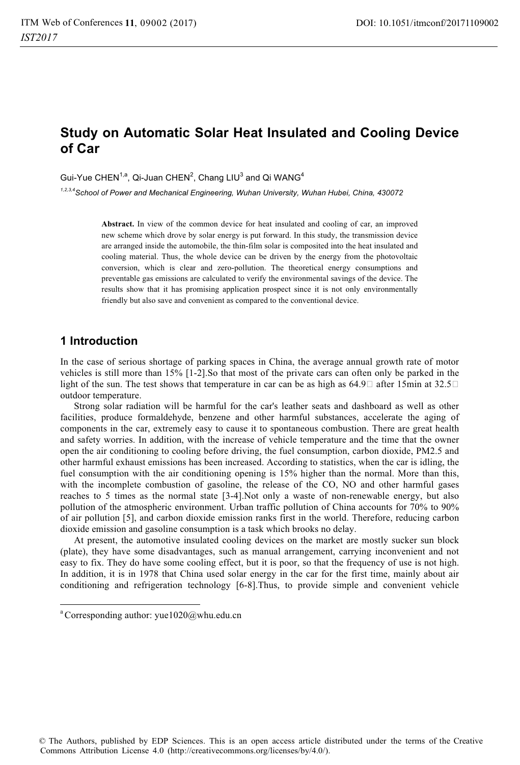# **Study on Automatic Solar Heat Insulated and Cooling Device of Car**

Gui-Yue CHEN $^{1,a}$ , Qi-Juan CHEN $^2$ , Chang LIU $^3$  and Qi WANG $^4$ 

*1,2,3,4School of Power and Mechanical Engineering, Wuhan University, Wuhan Hubei, China, 430072* 

**Abstract.** In view of the common device for heat insulated and cooling of car, an improved new scheme which drove by solar energy is put forward. In this study, the transmission device are arranged inside the automobile, the thin-film solar is composited into the heat insulated and cooling material. Thus, the whole device can be driven by the energy from the photovoltaic conversion, which is clear and zero-pollution. The theoretical energy consumptions and preventable gas emissions are calculated to verify the environmental savings of the device. The results show that it has promising application prospect since it is not only environmentally friendly but also save and convenient as compared to the conventional device.

## **1 Introduction**

-------------------------------------

In the case of serious shortage of parking spaces in China, the average annual growth rate of motor vehicles is still more than 15% [1-2].So that most of the private cars can often only be parked in the light of the sun. The test shows that temperature in car can be as high as  $64.9\degree$  after 15min at 32.5 outdoor temperature.

Strong solar radiation will be harmful for the car's leather seats and dashboard as well as other facilities, produce formaldehyde, benzene and other harmful substances, accelerate the aging of components in the car, extremely easy to cause it to spontaneous combustion. There are great health and safety worries. In addition, with the increase of vehicle temperature and the time that the owner open the air conditioning to cooling before driving, the fuel consumption, carbon dioxide, PM2.5 and other harmful exhaust emissions has been increased. According to statistics, when the car is idling, the fuel consumption with the air conditioning opening is 15% higher than the normal. More than this, with the incomplete combustion of gasoline, the release of the CO, NO and other harmful gases reaches to 5 times as the normal state [3-4].Not only a waste of non-renewable energy, but also pollution of the atmospheric environment. Urban traffic pollution of China accounts for 70% to 90% of air pollution [5], and carbon dioxide emission ranks first in the world. Therefore, reducing carbon dioxide emission and gasoline consumption is a task which brooks no delay.

At present, the automotive insulated cooling devices on the market are mostly sucker sun block (plate), they have some disadvantages, such as manual arrangement, carrying inconvenient and not easy to fix. They do have some cooling effect, but it is poor, so that the frequency of use is not high. In addition, it is in 1978 that China used solar energy in the car for the first time, mainly about air conditioning and refrigeration technology [6-8].Thus, to provide simple and convenient vehicle

-------------------

<sup>-</sup>-- --<sup>a</sup> Corresponding author: yue1020@whu.edu.cn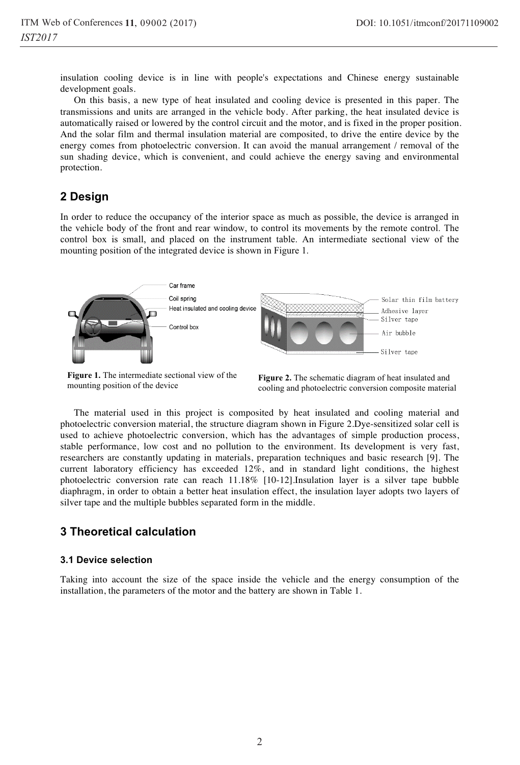insulation cooling device is in line with people's expectations and Chinese energy sustainable development goals.

On this basis, a new type of heat insulated and cooling device is presented in this paper. The transmissions and units are arranged in the vehicle body. After parking, the heat insulated device is automatically raised or lowered by the control circuit and the motor, and is fixed in the proper position. And the solar film and thermal insulation material are composited, to drive the entire device by the energy comes from photoelectric conversion. It can avoid the manual arrangement / removal of the sun shading device, which is convenient, and could achieve the energy saving and environmental protection.

# **2 Design**

In order to reduce the occupancy of the interior space as much as possible, the device is arranged in the vehicle body of the front and rear window, to control its movements by the remote control. The control box is small, and placed on the instrument table. An intermediate sectional view of the mounting position of the integrated device is shown in Figure 1.



**Figure 1.** The intermediate sectional view of the mounting position of the device

Figure 2. The schematic diagram of heat insulated and cooling and photoelectric conversion composite material

The material used in this project is composited by heat insulated and cooling material and photoelectric conversion material, the structure diagram shown in Figure 2.Dye-sensitized solar cell is used to achieve photoelectric conversion, which has the advantages of simple production process, stable performance, low cost and no pollution to the environment. Its development is very fast, researchers are constantly updating in materials, preparation techniques and basic research [9]. The current laboratory efficiency has exceeded 12%, and in standard light conditions, the highest photoelectric conversion rate can reach 11.18% [10-12].Insulation layer is a silver tape bubble diaphragm, in order to obtain a better heat insulation effect, the insulation layer adopts two layers of silver tape and the multiple bubbles separated form in the middle.

# **3 Theoretical calculation**

### **3.1 Device selection**

Taking into account the size of the space inside the vehicle and the energy consumption of the installation, the parameters of the motor and the battery are shown in Table 1.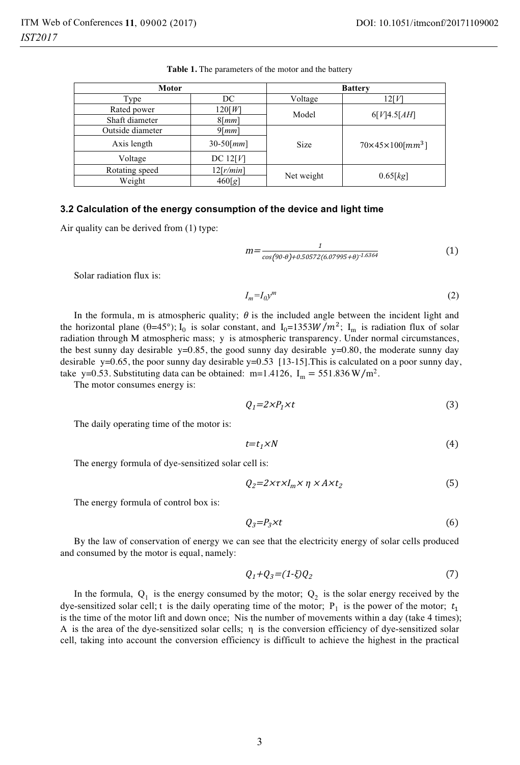| Motor            |                       | <b>Battery</b> |                                  |  |
|------------------|-----------------------|----------------|----------------------------------|--|
| Type             | DC                    | Voltage        | 12[V]                            |  |
| Rated power      | $120$ [W]             | Model          | 6[V]4.5[AH]                      |  |
| Shaft diameter   | $8 \lceil mm \rceil$  |                |                                  |  |
| Outside diameter | $9\lceil mm \rceil$   |                | $70\times45\times100$ [ $mm^3$ ] |  |
| Axis length      | $30-50$ [ <i>mm</i> ] | Size           |                                  |  |
| Voltage          | DC $12[V]$            |                |                                  |  |
| Rotating speed   | 12[r/min]             | Net weight     |                                  |  |
| Weight           | 460[g]                |                | 0.65[kg]                         |  |
|                  |                       |                |                                  |  |

**Table 1.** The parameters of the motor and the battery

#### **3.2 Calculation of the energy consumption of the device and light time**

Air quality can be derived from (1) type:

$$
m = \frac{1}{\cos(90 \cdot \theta) + 0.50572(6.07995 + \theta)^{1.6364}}\tag{1}
$$

Solar radiation flux is:

$$
I_m = I_0 y^m \tag{2}
$$

In the formula, m is atmospheric quality;  $\theta$  is the included angle between the incident light and the horizontal plane ( $\theta$ =45°);  $I_0$  is solar constant, and  $I_0$ =1353W/ $m^2$ ;  $I_m$  is radiation flux of solar radiation through M atmospheric mass; y is atmospheric transparency. Under normal circumstances, the best sunny day desirable  $y=0.85$ , the good sunny day desirable  $y=0.80$ , the moderate sunny day desirable y=0.65, the poor sunny day desirable y=0.53 [13-15].This is calculated on a poor sunny day, take y=0.53. Substituting data can be obtained: m=1.4126,  $I_m = 551.836 \,\text{W/m}^2$ .

The motor consumes energy is:

$$
Q_1 = 2 \times P_1 \times t \tag{3}
$$

The daily operating time of the motor is:

$$
t = t_1 \times N \tag{4}
$$

The energy formula of dye-sensitized solar cell is:

$$
Q_2 = 2 \times \tau \times I_m \times \eta \times A \times t_2 \tag{5}
$$

The energy formula of control box is:

$$
Q_3 = P_3 \times t \tag{6}
$$

By the law of conservation of energy we can see that the electricity energy of solar cells produced and consumed by the motor is equal, namely:

$$
Q_1 + Q_3 = (1-\xi)Q_2 \tag{7}
$$

In the formula,  $Q_1$  is the energy consumed by the motor;  $Q_2$  is the solar energy received by the dye-sensitized solar cell; t is the daily operating time of the motor;  $P_1$  is the power of the motor;  $t_1$ is the time of the motor lift and down once; Nis the number of movements within a day (take 4 times); A is the area of the dye-sensitized solar cells;  $\eta$  is the conversion efficiency of dye-sensitized solar cell, taking into account the conversion efficiency is difficult to achieve the highest in the practical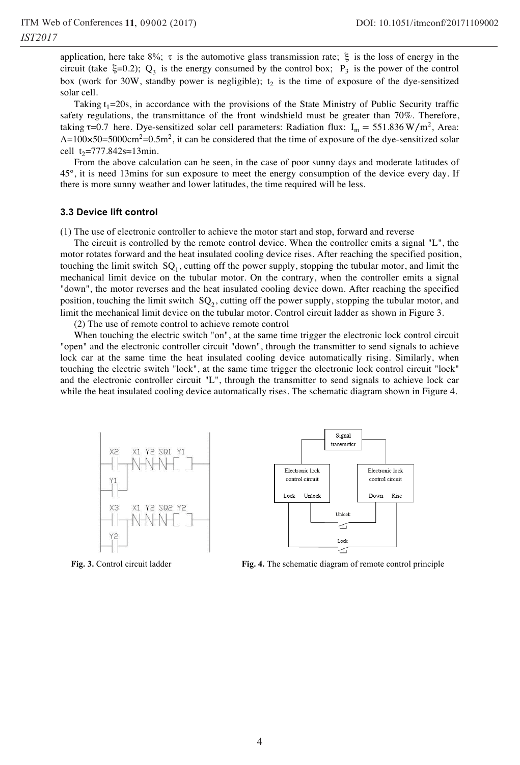application, here take 8%; τ is the automotive glass transmission rate;  $\xi$  is the loss of energy in the circuit (take  $\xi=0.2$ ); Q<sub>3</sub> is the energy consumed by the control box; P<sub>3</sub> is the power of the control box (work for 30W, standby power is negligible);  $t<sub>2</sub>$  is the time of exposure of the dye-sensitized solar cell.

Taking  $t_1$ =20s, in accordance with the provisions of the State Ministry of Public Security traffic safety regulations, the transmittance of the front windshield must be greater than 70%. Therefore, taking  $\tau$ =0.7 here. Dye-sensitized solar cell parameters: Radiation flux: I<sub>m</sub> = 551.836 W/m<sup>2</sup>, Area:  $A=100\times50=5000$ cm<sup>2</sup>=0.5m<sup>2</sup>, it can be considered that the time of exposure of the dye-sensitized solar cell  $t_2$ =777.842s≈13min.

From the above calculation can be seen, in the case of poor sunny days and moderate latitudes of 45°, it is need 13mins for sun exposure to meet the energy consumption of the device every day. If there is more sunny weather and lower latitudes, the time required will be less.

#### **3.3 Device lift control**

(1) The use of electronic controller to achieve the motor start and stop, forward and reverse

The circuit is controlled by the remote control device. When the controller emits a signal "L", the motor rotates forward and the heat insulated cooling device rises. After reaching the specified position, touching the limit switch  $SQ_1$ , cutting off the power supply, stopping the tubular motor, and limit the mechanical limit device on the tubular motor. On the contrary, when the controller emits a signal "down", the motor reverses and the heat insulated cooling device down. After reaching the specified position, touching the limit switch SQ<sub>2</sub>, cutting off the power supply, stopping the tubular motor, and limit the mechanical limit device on the tubular motor. Control circuit ladder as shown in Figure 3.

(2) The use of remote control to achieve remote control

When touching the electric switch "on", at the same time trigger the electronic lock control circuit "open" and the electronic controller circuit "down", through the transmitter to send signals to achieve lock car at the same time the heat insulated cooling device automatically rising. Similarly, when touching the electric switch "lock", at the same time trigger the electronic lock control circuit "lock" and the electronic controller circuit "L", through the transmitter to send signals to achieve lock car while the heat insulated cooling device automatically rises. The schematic diagram shown in Figure 4.





**Fig. 3.** Control circuit ladder **Fig. 4.** The schematic diagram of remote control principle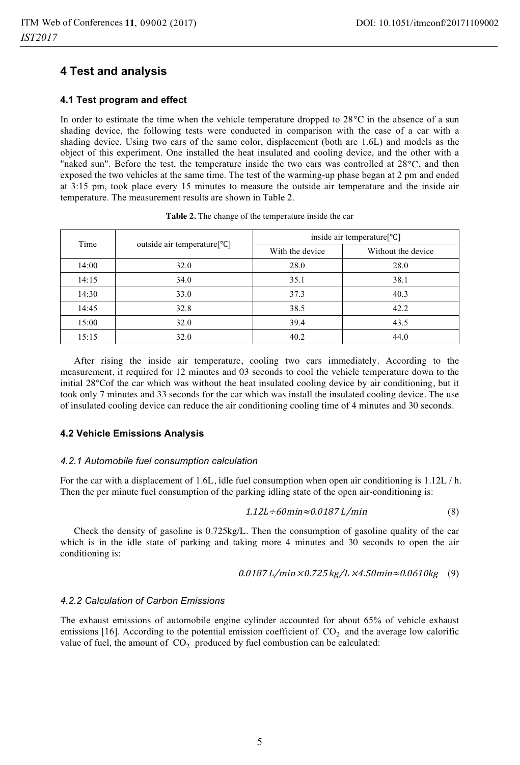## **4 Test and analysis**

### **4.1 Test program and effect**

In order to estimate the time when the vehicle temperature dropped to  $28^{\circ}$ C in the absence of a sun shading device, the following tests were conducted in comparison with the case of a car with a shading device. Using two cars of the same color, displacement (both are 1.6L) and models as the object of this experiment. One installed the heat insulated and cooling device, and the other with a "naked sun". Before the test, the temperature inside the two cars was controlled at  $28^{\circ}$ C, and then exposed the two vehicles at the same time. The test of the warming-up phase began at 2 pm and ended at 3:15 pm, took place every 15 minutes to measure the outside air temperature and the inside air temperature. The measurement results are shown in Table 2.

| Time  | outside air temperature[°C] | inside air temperature[°C] |                    |  |
|-------|-----------------------------|----------------------------|--------------------|--|
|       |                             | With the device            | Without the device |  |
| 14:00 | 32.0                        | 28.0                       | 28.0               |  |
| 14:15 | 34.0                        | 35.1                       | 38.1               |  |
| 14:30 | 33.0                        | 37.3                       | 40.3               |  |
| 14:45 | 32.8                        | 38.5                       | 42.2               |  |
| 15:00 | 32.0                        | 39.4                       | 43.5               |  |
| 15:15 | 32.0                        | 40.2                       | 44.0               |  |

**Table 2.** The change of the temperature inside the car

After rising the inside air temperature, cooling two cars immediately. According to the measurement, it required for 12 minutes and 03 seconds to cool the vehicle temperature down to the initial 28℃of the car which was without the heat insulated cooling device by air conditioning, but it took only 7 minutes and 33 seconds for the car which was install the insulated cooling device. The use of insulated cooling device can reduce the air conditioning cooling time of 4 minutes and 30 seconds.

### **4.2 Vehicle Emissions Analysis**

#### *4.2.1 Automobile fuel consumption calculation*

For the car with a displacement of 1.6L, idle fuel consumption when open air conditioning is 1.12L / h. Then the per minute fuel consumption of the parking idling state of the open air-conditioning is:

$$
1.12L \div 60\text{min} \approx 0.0187 \text{ L/min} \tag{8}
$$

Check the density of gasoline is 0.725kg/L. Then the consumption of gasoline quality of the car which is in the idle state of parking and taking more 4 minutes and 30 seconds to open the air conditioning is:

0.0187 L/min × 0.725 kg/L × 4.50min≈0.0610kg (9)

#### *4.2.2 Calculation of Carbon Emissions*

The exhaust emissions of automobile engine cylinder accounted for about 65% of vehicle exhaust emissions [16]. According to the potential emission coefficient of  $CO<sub>2</sub>$  and the average low calorific value of fuel, the amount of  $CO<sub>2</sub>$  produced by fuel combustion can be calculated: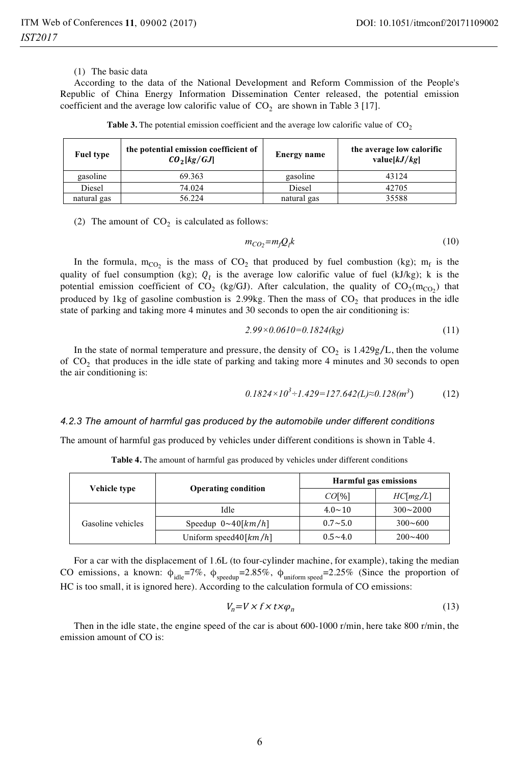#### (1) The basic data

According to the data of the National Development and Reform Commission of the People's Republic of China Energy Information Dissemination Center released, the potential emission coefficient and the average low calorific value of  $CO<sub>2</sub>$  are shown in Table 3 [17].

| <b>Fuel type</b> | the potential emission coefficient of<br>CO <sub>2</sub> [kg/GJ] | <b>Energy name</b> | the average low calorific<br>value $[kJ/kg]$ |
|------------------|------------------------------------------------------------------|--------------------|----------------------------------------------|
| gasoline         | 69.363                                                           | gasoline           | 43124                                        |
| Diesel           | 74.024                                                           | Diesel             | 42705                                        |
| natural gas      | 56.224                                                           | natural gas        | 35588                                        |

**Table 3.** The potential emission coefficient and the average low calorific value of  $CO<sub>2</sub>$ 

(2) The amount of  $CO<sub>2</sub>$  is calculated as follows:

$$
m_{CO_2} = m_f Q_l k \tag{10}
$$

In the formula,  $m_{CO_2}$  is the mass of  $CO_2$  that produced by fuel combustion (kg);  $m_f$  is the quality of fuel consumption (kg);  $Q_l$  is the average low calorific value of fuel (kJ/kg); k is the potential emission coefficient of  $CO_2$  (kg/GJ). After calculation, the quality of  $CO_2(m_{CO_2})$  that produced by 1kg of gasoline combustion is 2.99kg. Then the mass of  $CO<sub>2</sub>$  that produces in the idle state of parking and taking more 4 minutes and 30 seconds to open the air conditioning is:

$$
2.99 \times 0.0610 = 0.1824 \, \text{(kg)}\tag{11}
$$

In the state of normal temperature and pressure, the density of  $CO_2$  is 1.429g/L, then the volume of  $CO<sub>2</sub>$  that produces in the idle state of parking and taking more 4 minutes and 30 seconds to open the air conditioning is:

$$
0.1824 \times 10^3 \div 1.429 = 127.642(L) \approx 0.128(m^3)
$$
 (12)

#### *4.2.3 The amount of harmful gas produced by the automobile under different conditions*

The amount of harmful gas produced by vehicles under different conditions is shown in Table 4.

|                   |                                                  | <b>Harmful gas emissions</b> |                |  |
|-------------------|--------------------------------------------------|------------------------------|----------------|--|
| Vehicle type      | <b>Operating condition</b>                       | CO[%]                        | HC[mg/L]       |  |
| Gasoline vehicles | Idle                                             | $4.0 \sim 10$                | $300 - 2000$   |  |
|                   | Speedup $0 \sim 40 \left[ \frac{km}{h} \right]$  | $0.7 - 5.0$                  | $300 \sim 600$ |  |
|                   | Uniform speed 40 $\left\lceil km/h \right\rceil$ | $0.5 \sim 4.0$               | $200 \sim 400$ |  |

**Table 4.** The amount of harmful gas produced by vehicles under different conditions

For a car with the displacement of 1.6L (to four-cylinder machine, for example), taking the median CO emissions, a known:  $\phi_{idle} = 7\%$ ,  $\phi_{speedup} = 2.85\%$ ,  $\phi_{uniform\ speed} = 2.25\%$  (Since the proportion of HC is too small, it is ignored here). According to the calculation formula of CO emissions:

$$
V_n = V \times f \times t \times \varphi_n \tag{13}
$$

Then in the idle state, the engine speed of the car is about 600-1000 r/min, here take 800 r/min, the emission amount of CO is: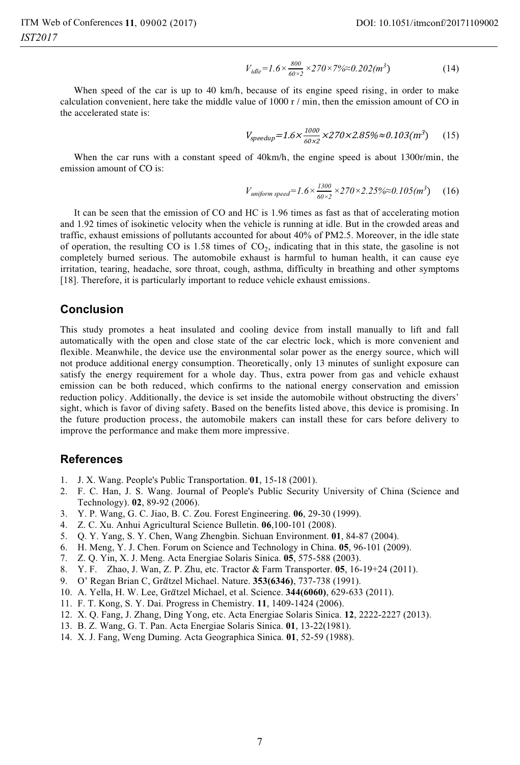$$
V_{idle} = 1.6 \times \frac{800}{60 \times 2} \times 270 \times 7\% \approx 0.202 \, (m^3)
$$
 (14)

When speed of the car is up to 40 km/h, because of its engine speed rising, in order to make calculation convenient, here take the middle value of 1000 r / min, then the emission amount of CO in the accelerated state is:

$$
V_{speedup} = 1.6 \times \frac{1000}{60 \times 2} \times 270 \times 2.85\% \approx 0.103 \, (\text{m}^3) \tag{15}
$$

When the car runs with a constant speed of 40km/h, the engine speed is about 1300r/min, the emission amount of CO is:

$$
V_{uniform\ speed} = 1.6 \times \frac{1300}{60 \times 2} \times 270 \times 2.25\% \approx 0.105 \, (m^3)
$$
 (16)

It can be seen that the emission of CO and HC is 1.96 times as fast as that of accelerating motion and 1.92 times of isokinetic velocity when the vehicle is running at idle. But in the crowded areas and traffic, exhaust emissions of pollutants accounted for about 40% of PM2.5. Moreover, in the idle state of operation, the resulting CO is  $1.58$  times of CO<sub>2</sub>, indicating that in this state, the gasoline is not completely burned serious. The automobile exhaust is harmful to human health, it can cause eye irritation, tearing, headache, sore throat, cough, asthma, difficulty in breathing and other symptoms [18]. Therefore, it is particularly important to reduce vehicle exhaust emissions.

## **Conclusion**

This study promotes a heat insulated and cooling device from install manually to lift and fall automatically with the open and close state of the car electric lock, which is more convenient and flexible. Meanwhile, the device use the environmental solar power as the energy source, which will not produce additional energy consumption. Theoretically, only 13 minutes of sunlight exposure can satisfy the energy requirement for a whole day. Thus, extra power from gas and vehicle exhaust emission can be both reduced, which confirms to the national energy conservation and emission reduction policy. Additionally, the device is set inside the automobile without obstructing the divers' sight, which is favor of diving safety. Based on the benefits listed above, this device is promising. In the future production process, the automobile makers can install these for cars before delivery to improve the performance and make them more impressive.

### **References**

- 1. J. X. Wang. People's Public Transportation. **01**, 15-18 (2001).
- 2. F. C. Han, J. S. Wang. Journal of People's Public Security University of China (Science and Technology). **02**, 89-92 (2006).
- 3. Y. P. Wang, G. C. Jiao, B. C. Zou. Forest Engineering. **06**, 29-30 (1999).
- 4. Z. C. Xu. Anhui Agricultural Science Bulletin. **06**,100-101 (2008).
- 5. Q. Y. Yang, S. Y. Chen, Wang Zhengbin. Sichuan Environment. **01**, 84-87 (2004).
- 6. H. Meng, Y. J. Chen. Forum on Science and Technology in China. **05**, 96-101 (2009).
- 7. Z. Q. Yin, X. J. Meng. Acta Energiae Solaris Sinica. **05**, 575-588 (2003).
- 8. Y. F. Zhao, J. Wan, Z. P. Zhu, etc. Tractor & Farm Transporter. **05**, 16-19+24 (2011).
- 9. O' Regan Brian C, Grätzel Michael. Nature. **353(6346)**, 737-738 (1991).<br>10. A. Vella H. W. Lee Grätzel Michael et al. Science. **344(6060)**, 629-633.
- 10. A. Yella, H. W. Lee, Grätzel Michael, et al. Science. **344(6060)**, 629-633 (2011).<br>11. E. T. Kong. S. Y. Dai. Progress in Chemistry. **11.** 1409-1424 (2006).
- 11. F. T. Kong, S. Y. Dai. Progress in Chemistry. **11**, 1409-1424 (2006).
- 12. X. Q. Fang, J. Zhang, Ding Yong, etc. Acta Energiae Solaris Sinica. **12**, 2222-2227 (2013).
- 13. B. Z. Wang, G. T. Pan. Acta Energiae Solaris Sinica. **01**, 13-22(1981).
- 14. X. J. Fang, Weng Duming. Acta Geographica Sinica. **01**, 52-59 (1988).